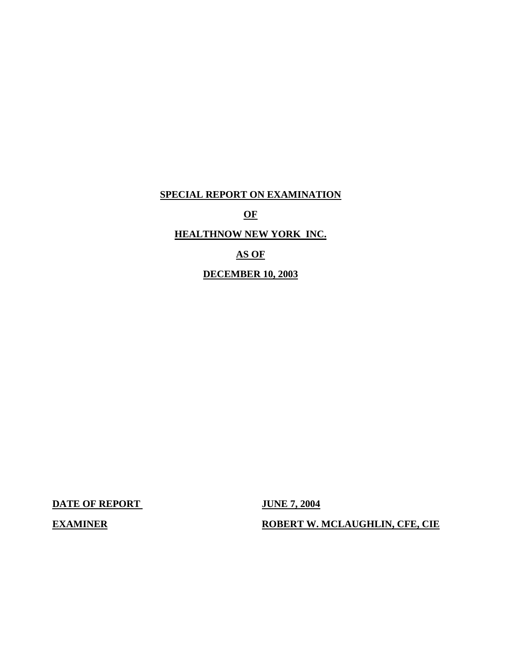## **SPECIAL REPORT ON EXAMINATION**

**OF** 

## **HEALTHNOW NEW YORK INC.**

# **AS OF**

## **DECEMBER 10, 2003**

**DATE OF REPORT** JUNE 7, 2004

**EXAMINER** ROBERT W. MCLAUGHLIN, CFE, CIE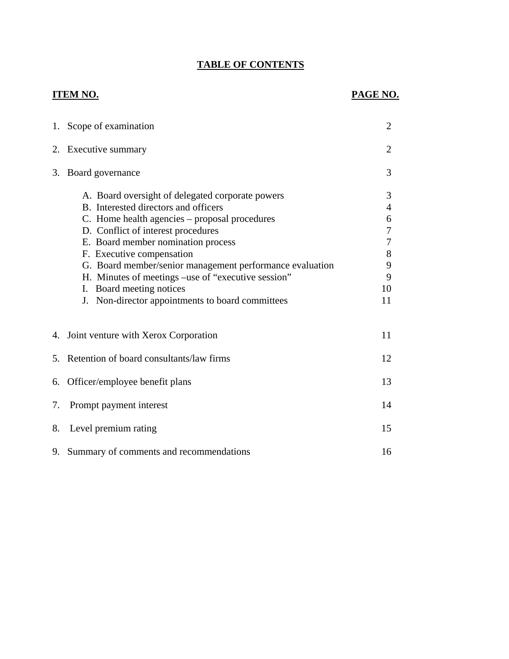# **TABLE OF CONTENTS**

# **ITEM NO.**

# **PAGE NO.**

|    | 1. Scope of examination                                                                                                                                                                                                                                                                                                                                                                                                                              | $\overline{2}$                                                                                  |
|----|------------------------------------------------------------------------------------------------------------------------------------------------------------------------------------------------------------------------------------------------------------------------------------------------------------------------------------------------------------------------------------------------------------------------------------------------------|-------------------------------------------------------------------------------------------------|
|    | 2. Executive summary                                                                                                                                                                                                                                                                                                                                                                                                                                 | $\overline{2}$                                                                                  |
| 3. | Board governance                                                                                                                                                                                                                                                                                                                                                                                                                                     | 3                                                                                               |
|    | A. Board oversight of delegated corporate powers<br>B. Interested directors and officers<br>C. Home health agencies – proposal procedures<br>D. Conflict of interest procedures<br>E. Board member nomination process<br>F. Executive compensation<br>G. Board member/senior management performance evaluation<br>H. Minutes of meetings -use of "executive session"<br>I. Board meeting notices<br>J. Non-director appointments to board committees | 3<br>$\overline{4}$<br>6<br>$\boldsymbol{7}$<br>$\boldsymbol{7}$<br>$8\,$<br>9<br>9<br>10<br>11 |
|    | 4. Joint venture with Xerox Corporation                                                                                                                                                                                                                                                                                                                                                                                                              | 11                                                                                              |
| 5. | Retention of board consultants/law firms                                                                                                                                                                                                                                                                                                                                                                                                             |                                                                                                 |
|    | 6. Officer/employee benefit plans                                                                                                                                                                                                                                                                                                                                                                                                                    |                                                                                                 |
| 7. | Prompt payment interest                                                                                                                                                                                                                                                                                                                                                                                                                              | 14                                                                                              |
| 8. | Level premium rating                                                                                                                                                                                                                                                                                                                                                                                                                                 |                                                                                                 |
|    | 9. Summary of comments and recommendations                                                                                                                                                                                                                                                                                                                                                                                                           | 16                                                                                              |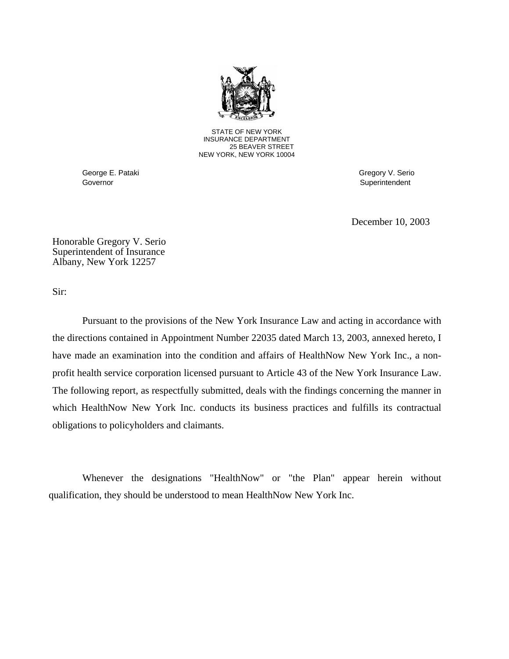

STATE OF NEW YORK INSURANCE DEPARTMENT 25 BEAVER STREET NEW YORK, NEW YORK 10004

Governor Superintendent Superintendent Superintendent Superintendent Superintendent Superintendent Superintendent Superintendent Superintendent Superintendent Superintendent Superintendent Superintendent Superintendent Sup

George E. Pataki Gregory V. Serio

December 10, 2003

Honorable Gregory V. Serio Superintendent of Insurance Albany, New York 12257

Sir:

Pursuant to the provisions of the New York Insurance Law and acting in accordance with the directions contained in Appointment Number 22035 dated March 13, 2003, annexed hereto, I have made an examination into the condition and affairs of HealthNow New York Inc., a nonprofit health service corporation licensed pursuant to Article 43 of the New York Insurance Law. The following report, as respectfully submitted, deals with the findings concerning the manner in which HealthNow New York Inc. conducts its business practices and fulfills its contractual obligations to policyholders and claimants.

Whenever the designations "HealthNow" or "the Plan" appear herein without qualification, they should be understood to mean HealthNow New York Inc.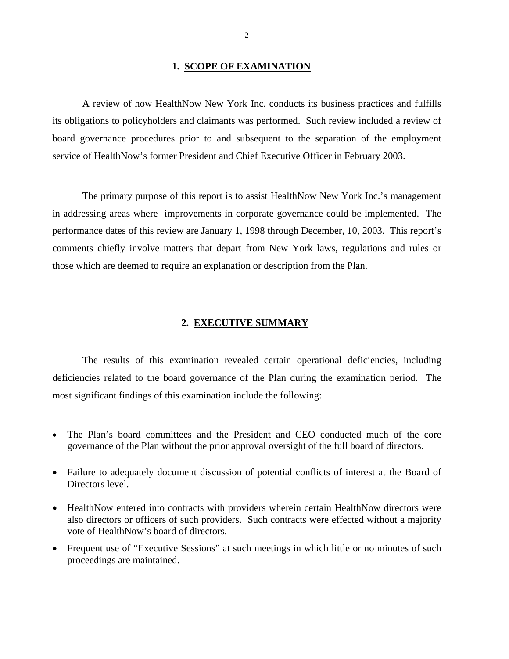#### **1. SCOPE OF EXAMINATION**

<span id="page-3-0"></span>A review of how HealthNow New York Inc. conducts its business practices and fulfills its obligations to policyholders and claimants was performed. Such review included a review of board governance procedures prior to and subsequent to the separation of the employment service of HealthNow's former President and Chief Executive Officer in February 2003.

The primary purpose of this report is to assist HealthNow New York Inc.'s management in addressing areas where improvements in corporate governance could be implemented. The performance dates of this review are January 1, 1998 through December, 10, 2003. This report's comments chiefly involve matters that depart from New York laws, regulations and rules or those which are deemed to require an explanation or description from the Plan.

#### **2. EXECUTIVE SUMMARY**

The results of this examination revealed certain operational deficiencies, including deficiencies related to the board governance of the Plan during the examination period. The most significant findings of this examination include the following:

- The Plan's board committees and the President and CEO conducted much of the core governance of the Plan without the prior approval oversight of the full board of directors.
- Failure to adequately document discussion of potential conflicts of interest at the Board of Directors level.
- HealthNow entered into contracts with providers wherein certain HealthNow directors were also directors or officers of such providers. Such contracts were effected without a majority vote of HealthNow's board of directors.
- Frequent use of "Executive Sessions" at such meetings in which little or no minutes of such proceedings are maintained.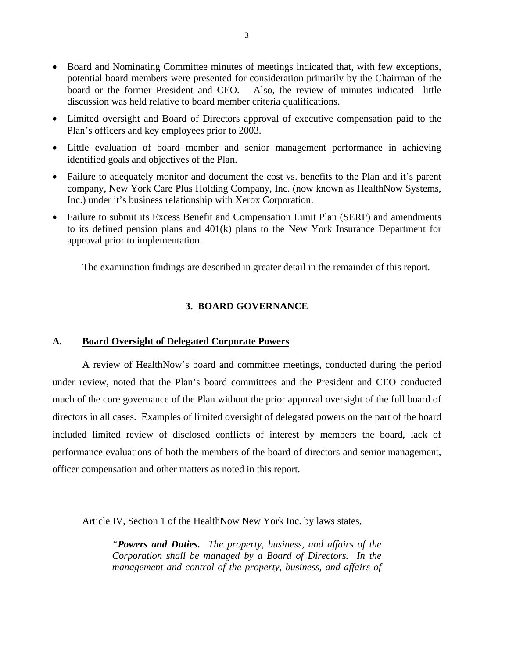- <span id="page-4-0"></span>• Board and Nominating Committee minutes of meetings indicated that, with few exceptions, potential board members were presented for consideration primarily by the Chairman of the board or the former President and CEO. Also, the review of minutes indicated little discussion was held relative to board member criteria qualifications.
- Limited oversight and Board of Directors approval of executive compensation paid to the Plan's officers and key employees prior to 2003.
- Little evaluation of board member and senior management performance in achieving identified goals and objectives of the Plan.
- Failure to adequately monitor and document the cost vs. benefits to the Plan and it's parent company, New York Care Plus Holding Company, Inc. (now known as HealthNow Systems, Inc.) under it's business relationship with Xerox Corporation.
- Failure to submit its Excess Benefit and Compensation Limit Plan (SERP) and amendments to its defined pension plans and 401(k) plans to the New York Insurance Department for approval prior to implementation.

The examination findings are described in greater detail in the remainder of this report.

#### **3. BOARD GOVERNANCE**

#### **A. Board Oversight of Delegated Corporate Powers**

A review of HealthNow's board and committee meetings, conducted during the period under review, noted that the Plan's board committees and the President and CEO conducted much of the core governance of the Plan without the prior approval oversight of the full board of directors in all cases. Examples of limited oversight of delegated powers on the part of the board included limited review of disclosed conflicts of interest by members the board, lack of performance evaluations of both the members of the board of directors and senior management, officer compensation and other matters as noted in this report.

Article IV, Section 1 of the HealthNow New York Inc. by laws states,

*"Powers and Duties. The property, business, and affairs of the Corporation shall be managed by a Board of Directors. In the management and control of the property, business, and affairs of*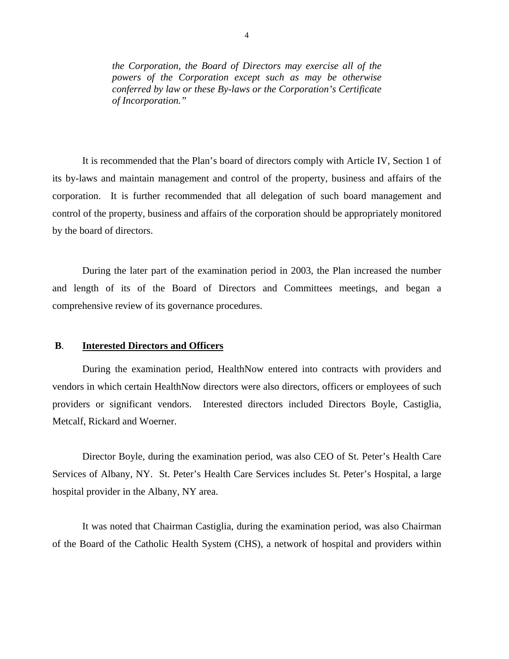<span id="page-5-0"></span>*the Corporation, the Board of Directors may exercise all of the powers of the Corporation except such as may be otherwise conferred by law or these By-laws or the Corporation's Certificate of Incorporation."* 

It is recommended that the Plan's board of directors comply with Article IV, Section 1 of its by-laws and maintain management and control of the property, business and affairs of the corporation. It is further recommended that all delegation of such board management and control of the property, business and affairs of the corporation should be appropriately monitored by the board of directors.

During the later part of the examination period in 2003, the Plan increased the number and length of its of the Board of Directors and Committees meetings, and began a comprehensive review of its governance procedures.

#### **B**. **Interested Directors and Officers**

During the examination period, HealthNow entered into contracts with providers and vendors in which certain HealthNow directors were also directors, officers or employees of such providers or significant vendors. Interested directors included Directors Boyle, Castiglia, Metcalf, Rickard and Woerner.

Director Boyle, during the examination period, was also CEO of St. Peter's Health Care Services of Albany, NY. St. Peter's Health Care Services includes St. Peter's Hospital, a large hospital provider in the Albany, NY area.

It was noted that Chairman Castiglia, during the examination period, was also Chairman of the Board of the Catholic Health System (CHS), a network of hospital and providers within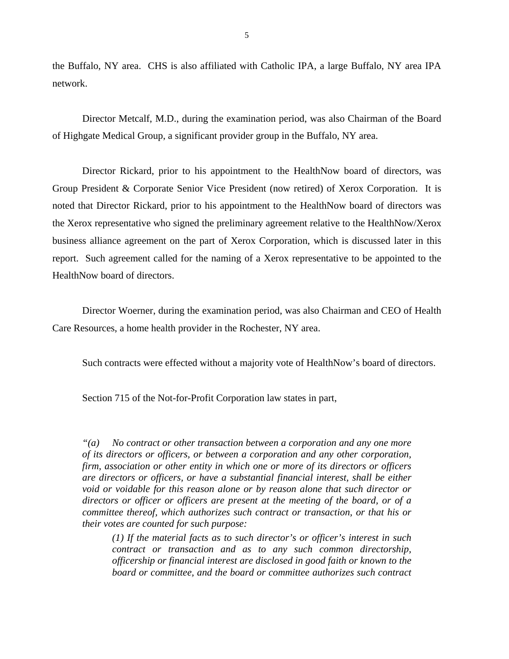the Buffalo, NY area. CHS is also affiliated with Catholic IPA, a large Buffalo, NY area IPA network.

Director Metcalf, M.D., during the examination period, was also Chairman of the Board of Highgate Medical Group, a significant provider group in the Buffalo, NY area.

Director Rickard, prior to his appointment to the HealthNow board of directors, was Group President & Corporate Senior Vice President (now retired) of Xerox Corporation. It is noted that Director Rickard, prior to his appointment to the HealthNow board of directors was the Xerox representative who signed the preliminary agreement relative to the HealthNow/Xerox business alliance agreement on the part of Xerox Corporation, which is discussed later in this report. Such agreement called for the naming of a Xerox representative to be appointed to the HealthNow board of directors.

Director Woerner, during the examination period, was also Chairman and CEO of Health Care Resources, a home health provider in the Rochester, NY area.

Such contracts were effected without a majority vote of HealthNow's board of directors.

Section 715 of the Not-for-Profit Corporation law states in part,

*"(a) No contract or other transaction between a corporation and any one more of its directors or officers, or between a corporation and any other corporation, firm, association or other entity in which one or more of its directors or officers are directors or officers, or have a substantial financial interest, shall be either void or voidable for this reason alone or by reason alone that such director or directors or officer or officers are present at the meeting of the board, or of a committee thereof, which authorizes such contract or transaction, or that his or their votes are counted for such purpose:* 

*(1) If the material facts as to such director's or officer's interest in such contract or transaction and as to any such common directorship, officership or financial interest are disclosed in good faith or known to the board or committee, and the board or committee authorizes such contract*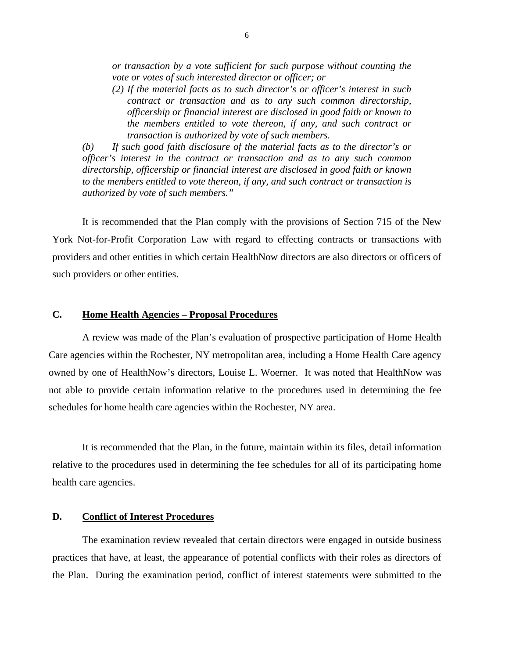<span id="page-7-0"></span>*or transaction by a vote sufficient for such purpose without counting the vote or votes of such interested director or officer; or* 

*(2) If the material facts as to such director's or officer's interest in such contract or transaction and as to any such common directorship, officership or financial interest are disclosed in good faith or known to the members entitled to vote thereon, if any, and such contract or transaction is authorized by vote of such members.* 

*(b) If such good faith disclosure of the material facts as to the director's or officer's interest in the contract or transaction and as to any such common directorship, officership or financial interest are disclosed in good faith or known to the members entitled to vote thereon, if any, and such contract or transaction is authorized by vote of such members."* 

It is recommended that the Plan comply with the provisions of Section 715 of the New York Not-for-Profit Corporation Law with regard to effecting contracts or transactions with providers and other entities in which certain HealthNow directors are also directors or officers of such providers or other entities.

#### **C. Home Health Agencies – Proposal Procedures**

A review was made of the Plan's evaluation of prospective participation of Home Health Care agencies within the Rochester, NY metropolitan area, including a Home Health Care agency owned by one of HealthNow's directors, Louise L. Woerner. It was noted that HealthNow was not able to provide certain information relative to the procedures used in determining the fee schedules for home health care agencies within the Rochester, NY area.

It is recommended that the Plan, in the future, maintain within its files, detail information relative to the procedures used in determining the fee schedules for all of its participating home health care agencies.

#### **D. Conflict of Interest Procedures**

The examination review revealed that certain directors were engaged in outside business practices that have, at least, the appearance of potential conflicts with their roles as directors of the Plan. During the examination period, conflict of interest statements were submitted to the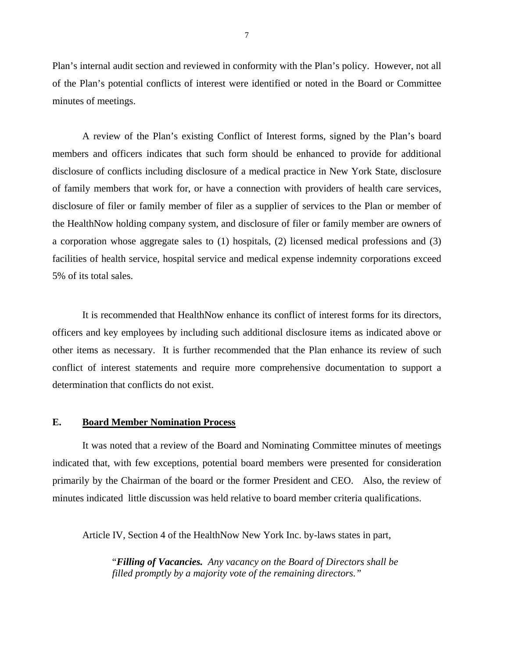<span id="page-8-0"></span>Plan's internal audit section and reviewed in conformity with the Plan's policy. However, not all of the Plan's potential conflicts of interest were identified or noted in the Board or Committee minutes of meetings.

A review of the Plan's existing Conflict of Interest forms, signed by the Plan's board members and officers indicates that such form should be enhanced to provide for additional disclosure of conflicts including disclosure of a medical practice in New York State, disclosure of family members that work for, or have a connection with providers of health care services, disclosure of filer or family member of filer as a supplier of services to the Plan or member of the HealthNow holding company system, and disclosure of filer or family member are owners of a corporation whose aggregate sales to (1) hospitals, (2) licensed medical professions and (3) facilities of health service, hospital service and medical expense indemnity corporations exceed 5% of its total sales.

It is recommended that HealthNow enhance its conflict of interest forms for its directors, officers and key employees by including such additional disclosure items as indicated above or other items as necessary. It is further recommended that the Plan enhance its review of such conflict of interest statements and require more comprehensive documentation to support a determination that conflicts do not exist.

### **E. Board Member Nomination Process**

It was noted that a review of the Board and Nominating Committee minutes of meetings indicated that, with few exceptions, potential board members were presented for consideration primarily by the Chairman of the board or the former President and CEO. Also, the review of minutes indicated little discussion was held relative to board member criteria qualifications.

Article IV, Section 4 of the HealthNow New York Inc. by-laws states in part,

"*Filling of Vacancies. Any vacancy on the Board of Directors shall be filled promptly by a majority vote of the remaining directors."*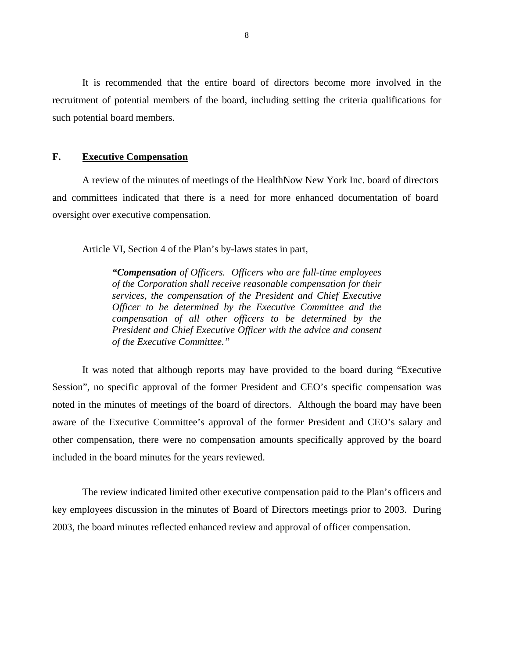<span id="page-9-0"></span>It is recommended that the entire board of directors become more involved in the recruitment of potential members of the board, including setting the criteria qualifications for such potential board members.

#### F. **Executive Compensation**

A review of the minutes of meetings of the HealthNow New York Inc. board of directors and committees indicated that there is a need for more enhanced documentation of board oversight over executive compensation.

Article VI, Section 4 of the Plan's by-laws states in part,

*"Compensation of Officers. Officers who are full-time employees of the Corporation shall receive reasonable compensation for their services, the compensation of the President and Chief Executive Officer to be determined by the Executive Committee and the compensation of all other officers to be determined by the President and Chief Executive Officer with the advice and consent of the Executive Committee."* 

It was noted that although reports may have provided to the board during "Executive Session", no specific approval of the former President and CEO's specific compensation was noted in the minutes of meetings of the board of directors. Although the board may have been aware of the Executive Committee's approval of the former President and CEO's salary and other compensation, there were no compensation amounts specifically approved by the board included in the board minutes for the years reviewed.

The review indicated limited other executive compensation paid to the Plan's officers and key employees discussion in the minutes of Board of Directors meetings prior to 2003. During 2003, the board minutes reflected enhanced review and approval of officer compensation.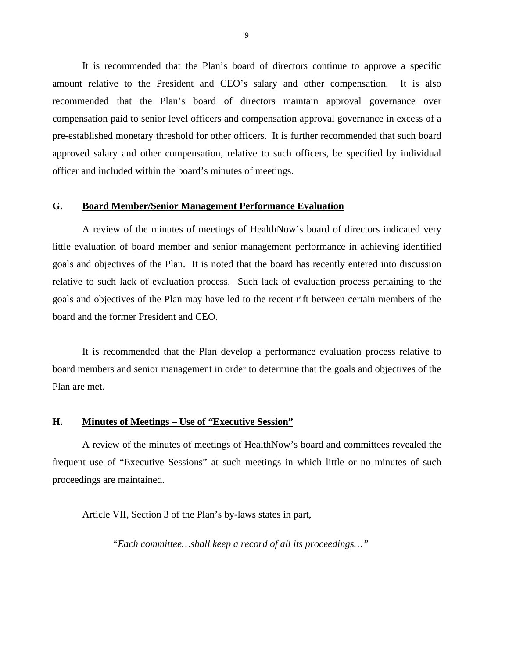<span id="page-10-0"></span>It is recommended that the Plan's board of directors continue to approve a specific amount relative to the President and CEO's salary and other compensation. It is also recommended that the Plan's board of directors maintain approval governance over compensation paid to senior level officers and compensation approval governance in excess of a pre-established monetary threshold for other officers. It is further recommended that such board approved salary and other compensation, relative to such officers, be specified by individual officer and included within the board's minutes of meetings.

#### **G. Board Member/Senior Management Performance Evaluation**

A review of the minutes of meetings of HealthNow's board of directors indicated very little evaluation of board member and senior management performance in achieving identified goals and objectives of the Plan. It is noted that the board has recently entered into discussion relative to such lack of evaluation process. Such lack of evaluation process pertaining to the goals and objectives of the Plan may have led to the recent rift between certain members of the board and the former President and CEO.

It is recommended that the Plan develop a performance evaluation process relative to board members and senior management in order to determine that the goals and objectives of the Plan are met.

#### **H. Minutes of Meetings – Use of "Executive Session"**

A review of the minutes of meetings of HealthNow's board and committees revealed the frequent use of "Executive Sessions" at such meetings in which little or no minutes of such proceedings are maintained.

Article VII, Section 3 of the Plan's by-laws states in part,

*"Each committee…shall keep a record of all its proceedings…"*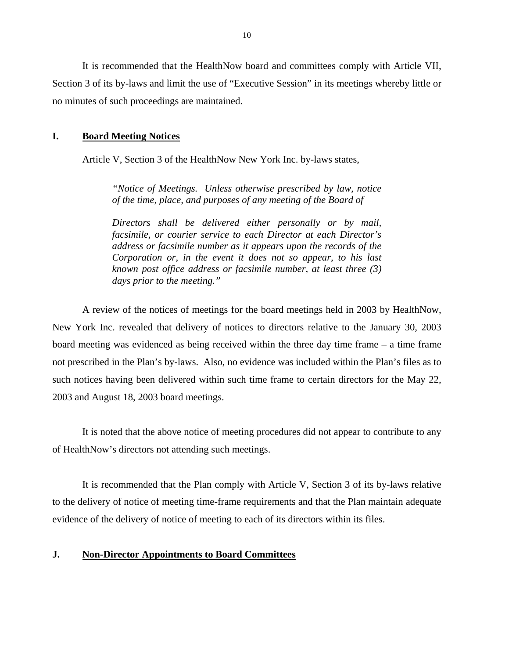<span id="page-11-0"></span>It is recommended that the HealthNow board and committees comply with Article VII, Section 3 of its by-laws and limit the use of "Executive Session" in its meetings whereby little or no minutes of such proceedings are maintained.

#### **I. Board Meeting Notices**

Article V, Section 3 of the HealthNow New York Inc. by-laws states,

*"Notice of Meetings. Unless otherwise prescribed by law, notice of the time, place, and purposes of any meeting of the Board of* 

*Directors shall be delivered either personally or by mail, facsimile, or courier service to each Director at each Director's address or facsimile number as it appears upon the records of the Corporation or, in the event it does not so appear, to his last known post office address or facsimile number, at least three (3) days prior to the meeting."* 

A review of the notices of meetings for the board meetings held in 2003 by HealthNow, New York Inc. revealed that delivery of notices to directors relative to the January 30, 2003 board meeting was evidenced as being received within the three day time frame – a time frame not prescribed in the Plan's by-laws. Also, no evidence was included within the Plan's files as to such notices having been delivered within such time frame to certain directors for the May 22, 2003 and August 18, 2003 board meetings.

It is noted that the above notice of meeting procedures did not appear to contribute to any of HealthNow's directors not attending such meetings.

It is recommended that the Plan comply with Article V, Section 3 of its by-laws relative to the delivery of notice of meeting time-frame requirements and that the Plan maintain adequate evidence of the delivery of notice of meeting to each of its directors within its files.

#### **J. Non-Director Appointments to Board Committees**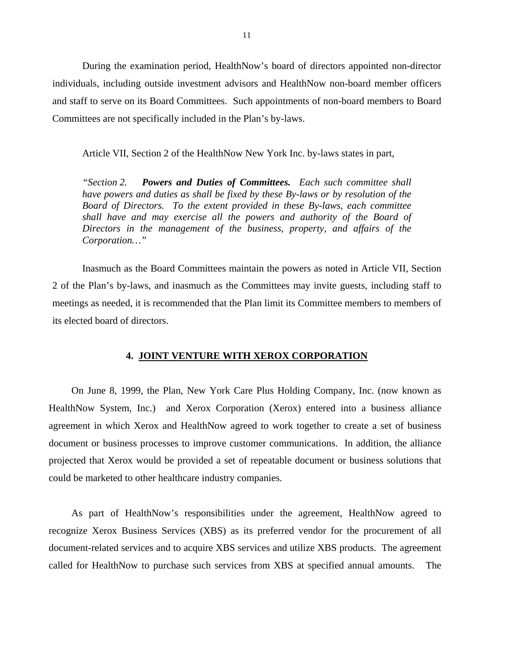<span id="page-12-0"></span>During the examination period, HealthNow's board of directors appointed non-director individuals, including outside investment advisors and HealthNow non-board member officers and staff to serve on its Board Committees. Such appointments of non-board members to Board Committees are not specifically included in the Plan's by-laws.

Article VII, Section 2 of the HealthNow New York Inc. by-laws states in part,

*"Section 2. Powers and Duties of Committees. Each such committee shall have powers and duties as shall be fixed by these By-laws or by resolution of the Board of Directors. To the extent provided in these By-laws, each committee shall have and may exercise all the powers and authority of the Board of Directors in the management of the business, property, and affairs of the Corporation…"* 

Inasmuch as the Board Committees maintain the powers as noted in Article VII, Section 2 of the Plan's by-laws, and inasmuch as the Committees may invite guests, including staff to meetings as needed, it is recommended that the Plan limit its Committee members to members of its elected board of directors.

#### **4. JOINT VENTURE WITH XEROX CORPORATION**

On June 8, 1999, the Plan, New York Care Plus Holding Company, Inc. (now known as HealthNow System, Inc.) and Xerox Corporation (Xerox) entered into a business alliance agreement in which Xerox and HealthNow agreed to work together to create a set of business document or business processes to improve customer communications. In addition, the alliance projected that Xerox would be provided a set of repeatable document or business solutions that could be marketed to other healthcare industry companies.

As part of HealthNow's responsibilities under the agreement, HealthNow agreed to recognize Xerox Business Services (XBS) as its preferred vendor for the procurement of all document-related services and to acquire XBS services and utilize XBS products. The agreement called for HealthNow to purchase such services from XBS at specified annual amounts. The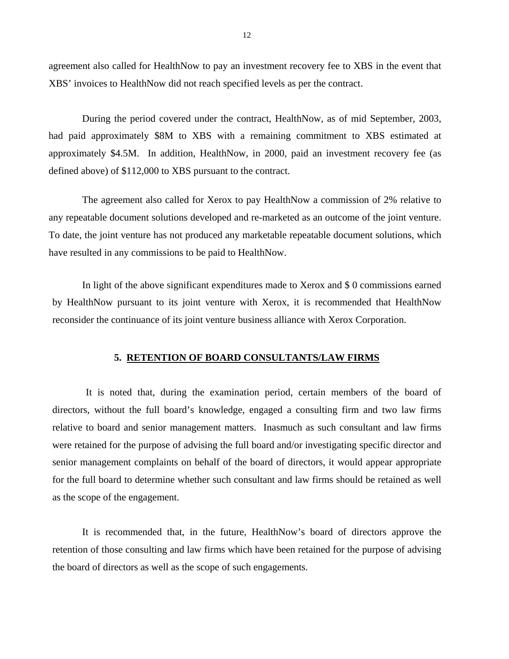<span id="page-13-0"></span>agreement also called for HealthNow to pay an investment recovery fee to XBS in the event that XBS' invoices to HealthNow did not reach specified levels as per the contract.

During the period covered under the contract, HealthNow, as of mid September, 2003, had paid approximately \$8M to XBS with a remaining commitment to XBS estimated at approximately \$4.5M. In addition, HealthNow, in 2000, paid an investment recovery fee (as defined above) of \$112,000 to XBS pursuant to the contract.

The agreement also called for Xerox to pay HealthNow a commission of 2% relative to any repeatable document solutions developed and re-marketed as an outcome of the joint venture. To date, the joint venture has not produced any marketable repeatable document solutions, which have resulted in any commissions to be paid to HealthNow.

In light of the above significant expenditures made to Xerox and \$ 0 commissions earned by HealthNow pursuant to its joint venture with Xerox, it is recommended that HealthNow reconsider the continuance of its joint venture business alliance with Xerox Corporation.

#### **5. RETENTION OF BOARD CONSULTANTS/LAW FIRMS**

It is noted that, during the examination period, certain members of the board of directors, without the full board's knowledge, engaged a consulting firm and two law firms relative to board and senior management matters. Inasmuch as such consultant and law firms were retained for the purpose of advising the full board and/or investigating specific director and senior management complaints on behalf of the board of directors, it would appear appropriate for the full board to determine whether such consultant and law firms should be retained as well as the scope of the engagement.

It is recommended that, in the future, HealthNow's board of directors approve the retention of those consulting and law firms which have been retained for the purpose of advising the board of directors as well as the scope of such engagements.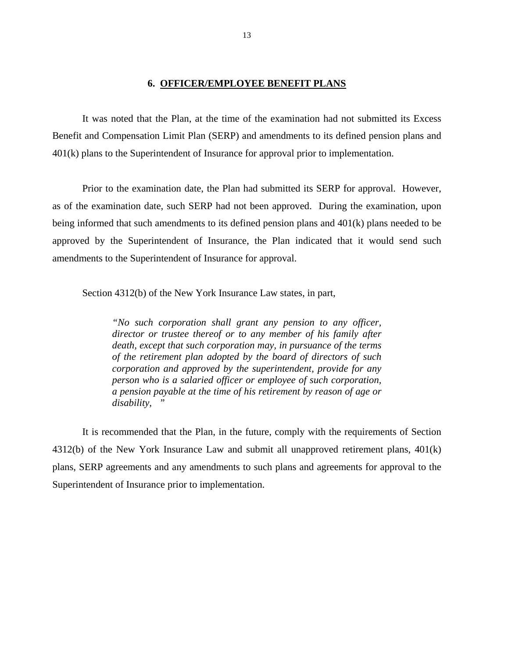#### **6. OFFICER/EMPLOYEE BENEFIT PLANS**

<span id="page-14-0"></span>It was noted that the Plan, at the time of the examination had not submitted its Excess Benefit and Compensation Limit Plan (SERP) and amendments to its defined pension plans and 401(k) plans to the Superintendent of Insurance for approval prior to implementation.

Prior to the examination date, the Plan had submitted its SERP for approval. However, as of the examination date, such SERP had not been approved. During the examination, upon being informed that such amendments to its defined pension plans and 401(k) plans needed to be approved by the Superintendent of Insurance, the Plan indicated that it would send such amendments to the Superintendent of Insurance for approval.

Section 4312(b) of the New York Insurance Law states, in part,

*"No such corporation shall grant any pension to any officer, director or trustee thereof or to any member of his family after death, except that such corporation may, in pursuance of the terms of the retirement plan adopted by the board of directors of such corporation and approved by the superintendent, provide for any person who is a salaried officer or employee of such corporation, a pension payable at the time of his retirement by reason of age or disability, "* 

It is recommended that the Plan, in the future, comply with the requirements of Section 4312(b) of the New York Insurance Law and submit all unapproved retirement plans, 401(k) plans, SERP agreements and any amendments to such plans and agreements for approval to the Superintendent of Insurance prior to implementation.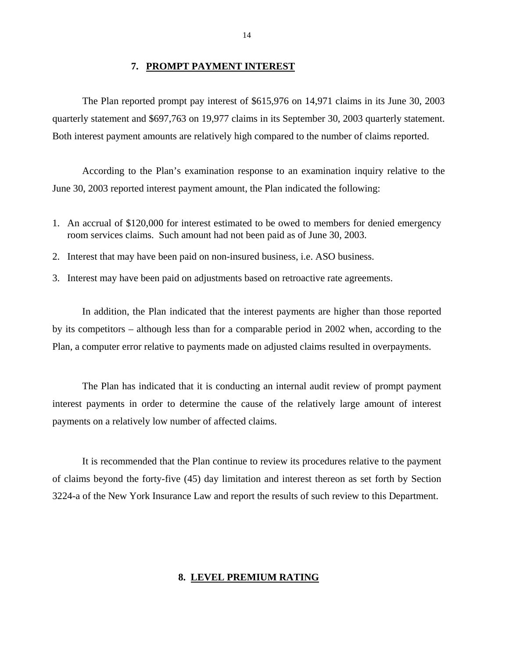#### **7. PROMPT PAYMENT INTEREST**

<span id="page-15-0"></span>The Plan reported prompt pay interest of \$615,976 on 14,971 claims in its June 30, 2003 quarterly statement and \$697,763 on 19,977 claims in its September 30, 2003 quarterly statement. Both interest payment amounts are relatively high compared to the number of claims reported.

According to the Plan's examination response to an examination inquiry relative to the June 30, 2003 reported interest payment amount, the Plan indicated the following:

- 1. An accrual of \$120,000 for interest estimated to be owed to members for denied emergency room services claims. Such amount had not been paid as of June 30, 2003.
- 2. Interest that may have been paid on non-insured business, i.e. ASO business.
- 3. Interest may have been paid on adjustments based on retroactive rate agreements.

In addition, the Plan indicated that the interest payments are higher than those reported by its competitors – although less than for a comparable period in 2002 when, according to the Plan, a computer error relative to payments made on adjusted claims resulted in overpayments.

The Plan has indicated that it is conducting an internal audit review of prompt payment interest payments in order to determine the cause of the relatively large amount of interest payments on a relatively low number of affected claims.

It is recommended that the Plan continue to review its procedures relative to the payment of claims beyond the forty-five (45) day limitation and interest thereon as set forth by Section 3224-a of the New York Insurance Law and report the results of such review to this Department.

#### **8. LEVEL PREMIUM RATING**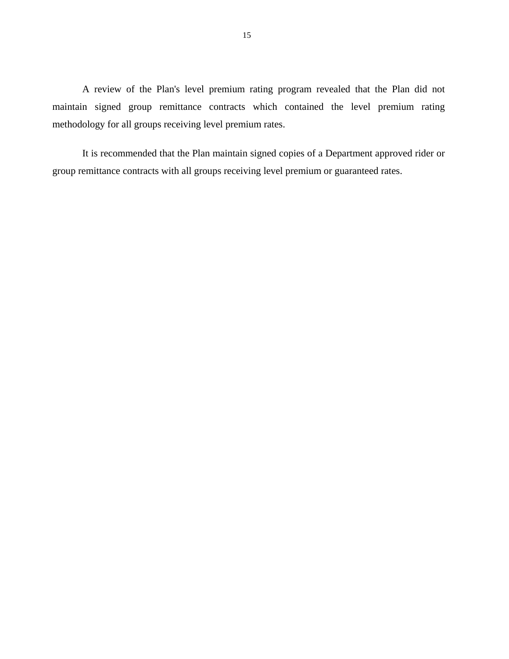<span id="page-16-0"></span>A review of the Plan's level premium rating program revealed that the Plan did not maintain signed group remittance contracts which contained the level premium rating methodology for all groups receiving level premium rates.

It is recommended that the Plan maintain signed copies of a Department approved rider or group remittance contracts with all groups receiving level premium or guaranteed rates.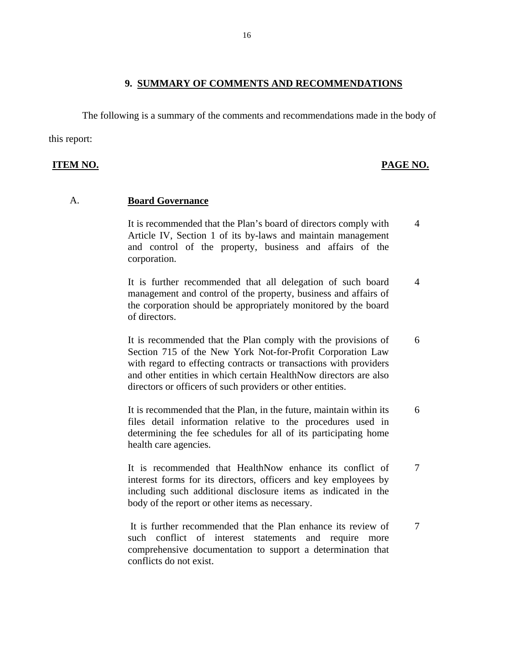#### **9. SUMMARY OF COMMENTS AND RECOMMENDATIONS**

<span id="page-17-0"></span>The following is a summary of the comments and recommendations made in the body of

this report:

#### **ITEM NO. PAGE NO.**

#### A. **Board Governance**

It is recommended that the Plan's board of directors comply with 4 Article IV, Section 1 of its by-laws and maintain management and control of the property, business and affairs of the corporation.

It is further recommended that all delegation of such board 4 management and control of the property, business and affairs of the corporation should be appropriately monitored by the board of directors.

It is recommended that the Plan comply with the provisions of 6 Section 715 of the New York Not-for-Profit Corporation Law with regard to effecting contracts or transactions with providers and other entities in which certain HealthNow directors are also directors or officers of such providers or other entities.

It is recommended that the Plan, in the future, maintain within its 6 files detail information relative to the procedures used in determining the fee schedules for all of its participating home health care agencies.

It is recommended that HealthNow enhance its conflict of 7 interest forms for its directors, officers and key employees by including such additional disclosure items as indicated in the body of the report or other items as necessary.

It is further recommended that the Plan enhance its review of 7 such conflict of interest statements and require more comprehensive documentation to support a determination that conflicts do not exist.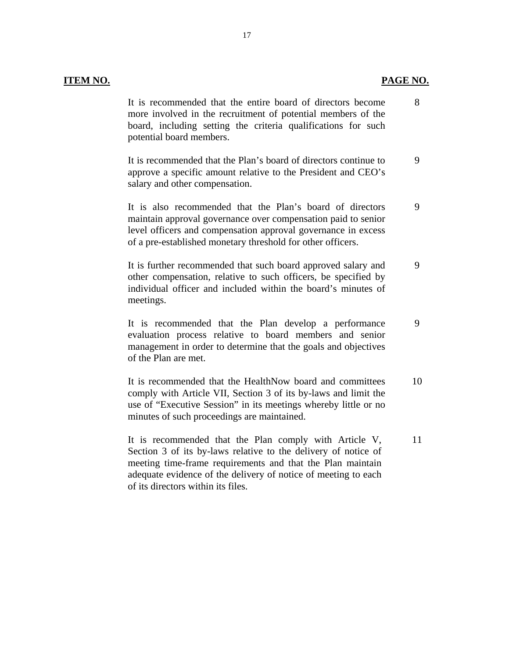#### **ITEM NO. PAGE NO. PAGE NO.**

It is recommended that the entire board of directors become more involved in the recruitment of potential members of the board, including setting the criteria qualifications for such potential board members. 8

It is recommended that the Plan's board of directors continue to approve a specific amount relative to the President and CEO's salary and other compensation. 9

It is also recommended that the Plan's board of directors maintain approval governance over compensation paid to senior level officers and compensation approval governance in excess of a pre-established monetary threshold for other officers. 9

It is further recommended that such board approved salary and other compensation, relative to such officers, be specified by individual officer and included within the board's minutes of meetings. 9

It is recommended that the Plan develop a performance evaluation process relative to board members and senior management in order to determine that the goals and objectives of the Plan are met. 9

It is recommended that the HealthNow board and committees comply with Article VII, Section 3 of its by-laws and limit the use of "Executive Session" in its meetings whereby little or no minutes of such proceedings are maintained. 10

It is recommended that the Plan comply with Article V, Section 3 of its by-laws relative to the delivery of notice of meeting time-frame requirements and that the Plan maintain adequate evidence of the delivery of notice of meeting to each of its directors within its files. 11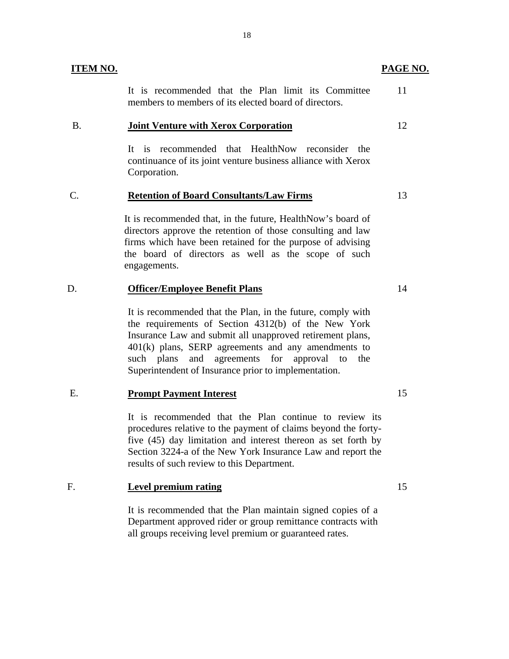| ITEM NO. |                                                                                                              | PAGE NO. |
|----------|--------------------------------------------------------------------------------------------------------------|----------|
|          | It is recommended that the Plan limit its Committee<br>members to members of its elected board of directors. |          |
| B        | <b>Joint Venture with Xerox Corporation</b>                                                                  |          |

It is recommended that HealthNow reconsider the continuance of its joint venture business alliance with Xerox Corporation.

#### C. **Retention of Board Consultants/Law Firms** 13

It is recommended that, in the future, HealthNow's board of directors approve the retention of those consulting and law firms which have been retained for the purpose of advising the board of directors as well as the scope of such engagements.

#### D. **Officer/Employee Benefit Plans** 14

It is recommended that the Plan, in the future, comply with the requirements of Section 4312(b) of the New York Insurance Law and submit all unapproved retirement plans, 401(k) plans, SERP agreements and any amendments to such plans and agreements for approval to the Superintendent of Insurance prior to implementation.

### E. **Prompt Payment Interest** 15

It is recommended that the Plan continue to review its procedures relative to the payment of claims beyond the fortyfive (45) day limitation and interest thereon as set forth by Section 3224-a of the New York Insurance Law and report the results of such review to this Department.

### F. **Level premium rating** 15

It is recommended that the Plan maintain signed copies of a Department approved rider or group remittance contracts with all groups receiving level premium or guaranteed rates.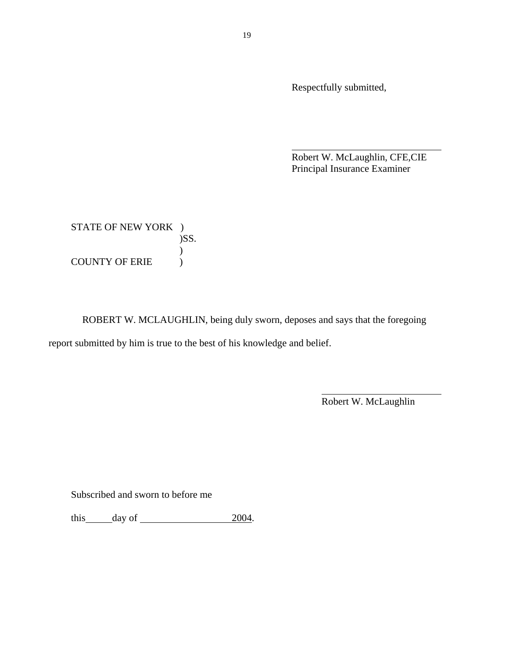Respectfully submitted,

 Robert W. McLaughlin, CFE,CIE Principal Insurance Examiner

STATE OF NEW YORK ) )SS.  $\mathcal{L}$ COUNTY OF ERIE )

ROBERT W. MCLAUGHLIN, being duly sworn, deposes and says that the foregoing report submitted by him is true to the best of his knowledge and belief.

Robert W. McLaughlin

Subscribed and sworn to before me

this  $\_\$ {day \text{ of } \\_\\_\\_\\_\\_\\_\\_2